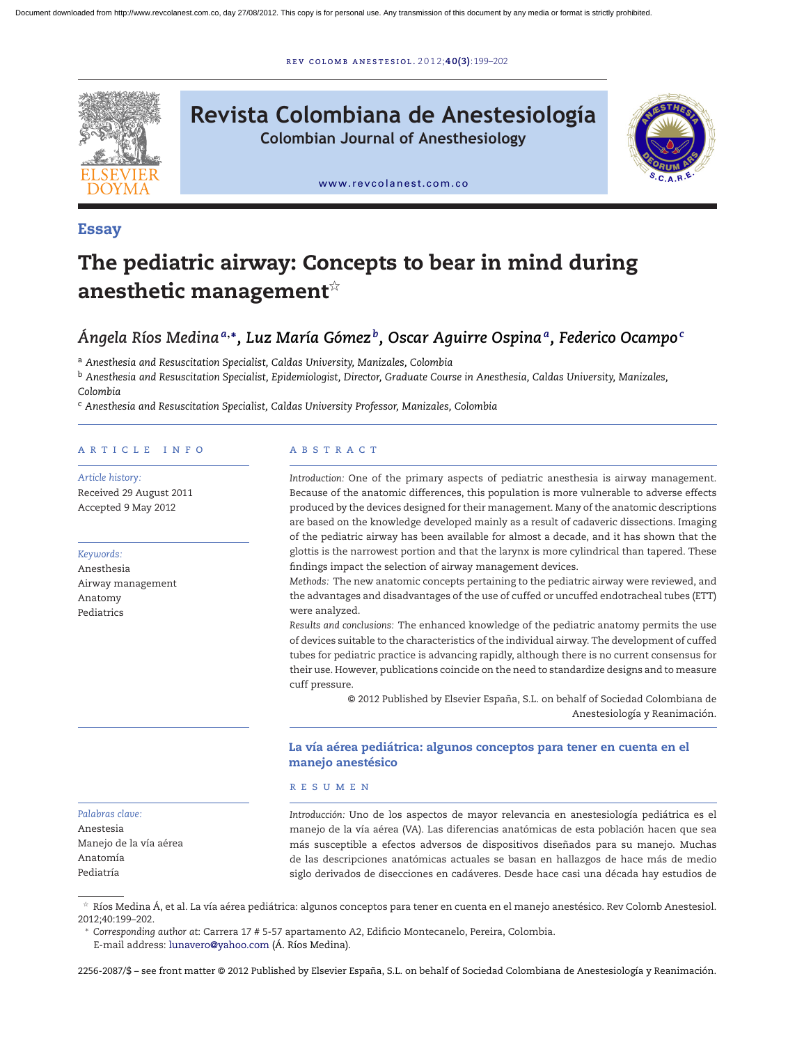r ev [colomb](dx.doi.org/10.1016/j.rcae.2012.06.005) ane s t e s iol . 2 0 1 2;**40(3)**:199–202



# **Revista Colombiana de Anestesiología**

**Colombian Journal of Anesthesiology**



[www.revcolanest.com.co](http://www.revcolanest.com.co)

## **Essay**

# **The pediatric airway: Concepts to bear in mind during** anesthetic management $^{\scriptscriptstyle\star}$

# *Ángela Ríos Medina<sup>a</sup>***,∗***, Luz María Gómez b, Oscar Aguirre Ospinaa, Federico Ocampo<sup>c</sup>*

<sup>a</sup> *Anesthesia and Resuscitation Specialist, Caldas University, Manizales, Colombia*

<sup>b</sup> *Anesthesia and Resuscitation Specialist, Epidemiologist, Director, Graduate Course in Anesthesia, Caldas University, Manizales, Colombia*

<sup>c</sup> *Anesthesia and Resuscitation Specialist, Caldas University Professor, Manizales, Colombia*

#### a r t i c l e i n f o

*Article history:* Received 29 August 2011 Accepted 9 May 2012

#### *Keywords:*

*Palabras clave:* Anestesia

Anatomía Pediatría

Manejo de la vía aérea

Anesthesia Airway management Anatomy Pediatrics

### A B S T R A C T

*Introduction:* One of the primary aspects of pediatric anesthesia is airway management. Because of the anatomic differences, this population is more vulnerable to adverse effects produced by the devices designed for their management. Many of the anatomic descriptions are based on the knowledge developed mainly as a result of cadaveric dissections. Imaging of the pediatric airway has been available for almost a decade, and it has shown that the glottis is the narrowest portion and that the larynx is more cylindrical than tapered. These findings impact the selection of airway management devices.

*Methods:* The new anatomic concepts pertaining to the pediatric airway were reviewed, and the advantages and disadvantages of the use of cuffed or uncuffed endotracheal tubes (ETT) were analyzed.

*Results and conclusions:* The enhanced knowledge of the pediatric anatomy permits the use of devices suitable to the characteristics of the individual airway. The development of cuffed tubes for pediatric practice is advancing rapidly, although there is no current consensus for their use. However, publications coincide on the need to standardize designs and to measure cuff pressure.

> © 2012 Published by Elsevier España, S.L. on behalf of Sociedad Colombiana de Anestesiología y Reanimación.

#### **La vía aérea pediátrica: algunos conceptos para tener en cuenta en el manejo anestésico**

#### r e s u m e n

*Introducción:* Uno de los aspectos de mayor relevancia en anestesiología pediátrica es el manejo de la vía aérea (VA). Las diferencias anatómicas de esta población hacen que sea más susceptible a efectos adversos de dispositivos diseñados para su manejo. Muchas de las descripciones anatómicas actuales se basan en hallazgos de hace más de medio siglo derivados de disecciones en cadáveres. Desde hace casi una década hay estudios de

 $^\star$  Ríos Medina Á, et al. La vía aérea pediátrica: algunos conceptos para tener en cuenta en el manejo anestésico. Rev Colomb Anestesiol. 2012;40:199–202.

<sup>∗</sup> *Corresponding author at*: Carrera 17 # 5-57 apartamento A2, Edificio Montecanelo, Pereira, Colombia.

E-mail address: [lunavero@yahoo.com](mailto:lunavero@yahoo.com) (Á. Ríos Medina).

2256-2087/\$ – see front matter © 2012 Published by Elsevier España, S.L. on behalf of Sociedad Colombiana de Anestesiología y Reanimación.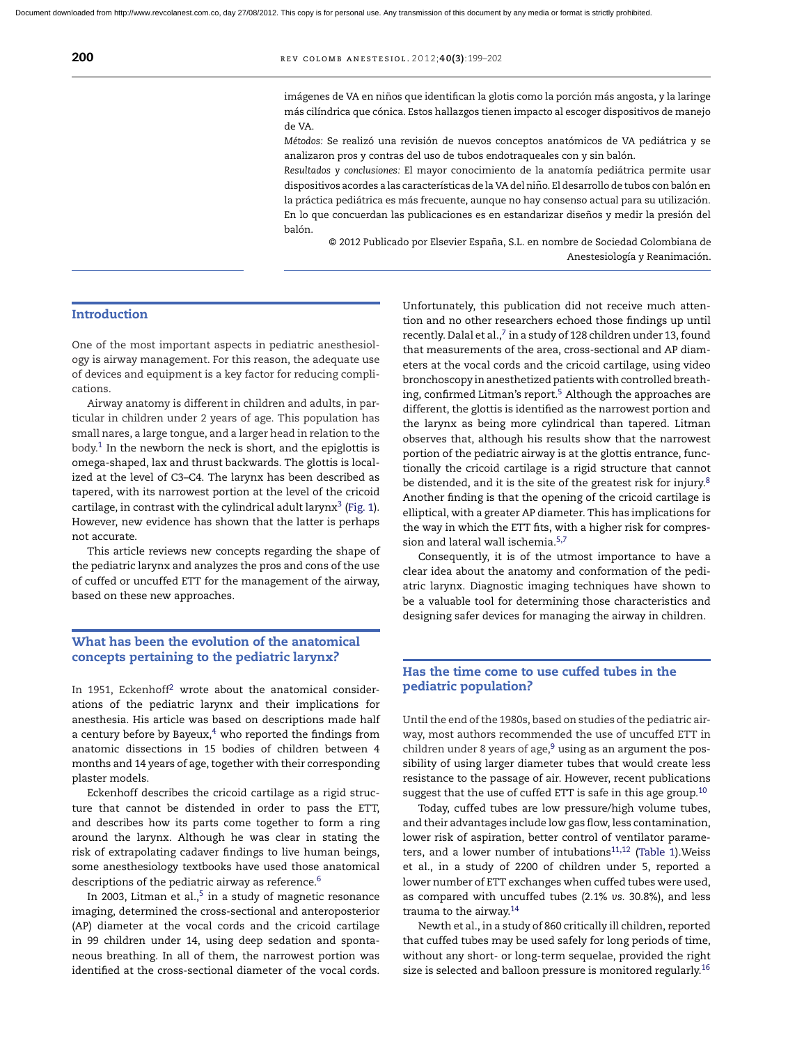imágenes de VA en niños que identifican la glotis como la porción más angosta, y la laringe más cilíndrica que cónica. Estos hallazgos tienen impacto al escoger dispositivos de manejo de VA.

*Métodos:* Se realizó una revisión de nuevos conceptos anatómicos de VA pediátrica y se analizaron pros y contras del uso de tubos endotraqueales con y sin balón.

*Resultados y conclusiones:* El mayor conocimiento de la anatomía pediátrica permite usar dispositivos acordes a las características de la VA del niño. El desarrollo de tubos con balón en la práctica pediátrica es más frecuente, aunque no hay consenso actual para su utilización. En lo que concuerdan las publicaciones es en estandarizar diseños y medir la presión del balón.

© 2012 Publicado por Elsevier España, S.L. en nombre de Sociedad Colombiana de Anestesiología y Reanimación.

#### **Introduction**

One of the most important aspects in pediatric anesthesiology is airway management. For this reason, the adequate use of devices and equipment is a key factor for reducing complications.

Airway anatomy is different in children and adults, in particular in children under 2 years of age. This population has small nares, a large tongue, and a larger head in relation to the body. $1$  In the newborn the neck is short, and the epiglottis is omega-shaped, lax and thrust backwards. The glottis is localized at the level of C3–C4. The larynx has been described as tapered, with its narrowest portion at the level of the cricoid cartilage, in contrast with the cylindrical adult larynx<sup>[3](#page-3-0)</sup> ([Fig.](#page-2-0) 1). However, new evidence has shown that the latter is perhaps not accurate.

This article reviews new concepts regarding the shape of the pediatric larynx and analyzes the pros and cons of the use of cuffed or uncuffed ETT for the management of the airway, based on these new approaches.

#### **What has been the evolution of the anatomical concepts pertaining to the pediatric larynx?**

In 1951, Eckenhoff<sup>[2](#page-3-0)</sup> wrote about the anatomical considerations of the pediatric larynx and their implications for anesthesia. His article was based on descriptions made half a century before by Bayeux, $4$  who reported the findings from anatomic dissections in 15 bodies of children between 4 months and 14 years of age, together with their corresponding plaster models.

Eckenhoff describes the cricoid cartilage as a rigid structure that cannot be distended in order to pass the ETT, and describes how its parts come together to form a ring around the larynx. Although he was clear in stating the risk of extrapolating cadaver findings to live human beings, some anesthesiology textbooks have used those anatomical descriptions of the pediatric airway as reference.<sup>[6](#page-3-0)</sup>

In 2003, Litman et al., $5$  in a study of magnetic resonance imaging, determined the cross-sectional and anteroposterior (AP) diameter at the vocal cords and the cricoid cartilage in 99 children under 14, using deep sedation and spontaneous breathing. In all of them, the narrowest portion was identified at the cross-sectional diameter of the vocal cords. Unfortunately, this publication did not receive much attention and no other researchers echoed those findings up until recently. Dalal et al., $7$  in a study of 128 children under 13, found that measurements of the area, cross-sectional and AP diameters at the vocal cords and the cricoid cartilage, using video bronchoscopy in anesthetized patients with controlled breath-ing, confirmed Litman's report.<sup>[5](#page-3-0)</sup> Although the approaches are different, the glottis is identified as the narrowest portion and the larynx as being more cylindrical than tapered. Litman observes that, although his results show that the narrowest portion of the pediatric airway is at the glottis entrance, functionally the cricoid cartilage is a rigid structure that cannot be distended, and it is the site of the greatest risk for injury.<sup>[8](#page-3-0)</sup> Another finding is that the opening of the cricoid cartilage is elliptical, with a greater AP diameter. This has implications for the way in which the ETT fits, with a higher risk for compres-sion and lateral wall ischemia.<sup>[5,7](#page-3-0)</sup>

Consequently, it is of the utmost importance to have a clear idea about the anatomy and conformation of the pediatric larynx. Diagnostic imaging techniques have shown to be a valuable tool for determining those characteristics and designing safer devices for managing the airway in children.

#### **Has the time come to use cuffed tubes in the pediatric population?**

Until the end of the 1980s, based on studies of the pediatric airway, most authors recommended the use of uncuffed ETT in children under 8 years of age, $9$  using as an argument the possibility of using larger diameter tubes that would create less resistance to the passage of air. However, recent publications suggest that the use of cuffed ETT is safe in this age group.<sup>[10](#page-3-0)</sup>

Today, cuffed tubes are low pressure/high volume tubes, and their advantages include low gas flow, less contamination, lower risk of aspiration, better control of ventilator parameters, and a lower number of intubations $11,12$  ([Table](#page-3-0) 1). Weiss et al., in a study of 2200 of children under 5, reported a lower number of ETT exchanges when cuffed tubes were used, as compared with uncuffed tubes (2.1% *vs.* 30.8%), and less trauma to the airway[.14](#page-3-0)

Newth et al., in a study of 860 critically ill children, reported that cuffed tubes may be used safely for long periods of time, without any short- or long-term sequelae, provided the right size is selected and balloon pressure is monitored regularly.<sup>16</sup>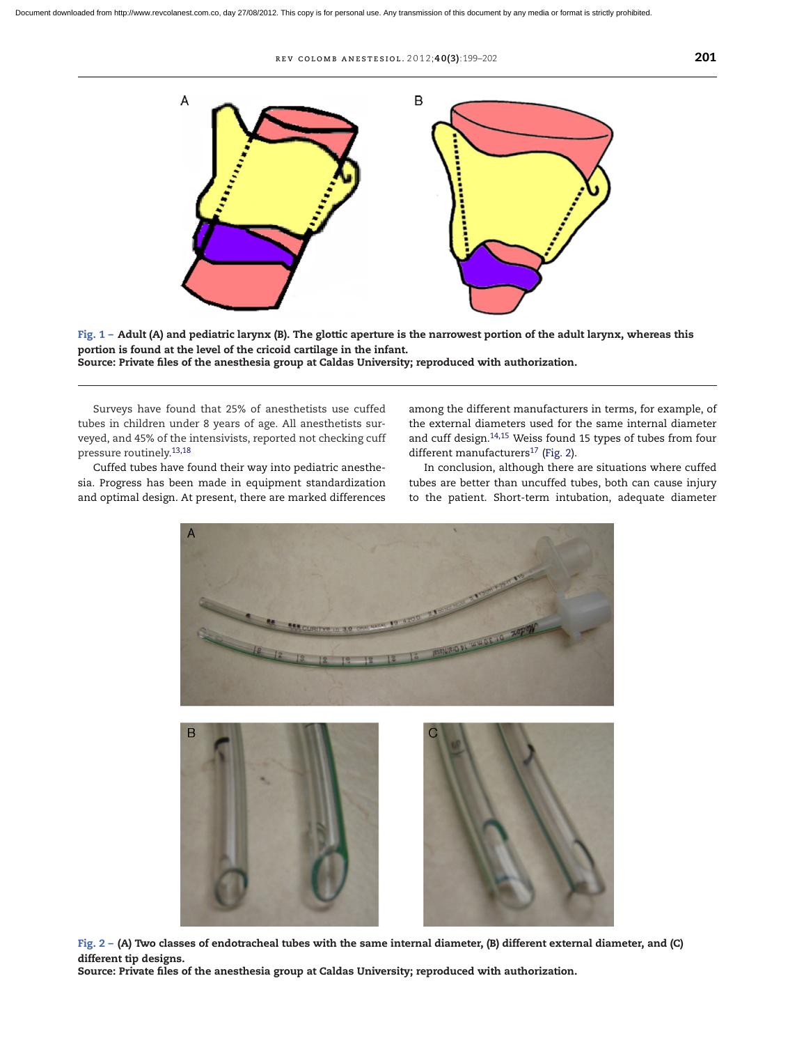r ev colomb ane s t e s iol . 2 0 1 2;**40(3)**:199–202 **201**

<span id="page-2-0"></span>

Fig.  $1 -$  Adult (A) and pediatric larynx (B). The glottic aperture is the narrowest portion of the adult larynx, whereas this **portion is found at the level of the cricoid cartilage in the infant. Source: Private files of the anesthesia group at Caldas University; reproduced with authorization.**

Surveys have found that 25% of anesthetists use cuffed tubes in children under 8 years of age. All anesthetists surveyed, and 45% of the intensivists, reported not checking cuff pressure routinely.[13,18](#page-3-0)

Cuffed tubes have found their way into pediatric anesthesia. Progress has been made in equipment standardization and optimal design. At present, there are marked differences

among the different manufacturers in terms, for example, of the external diameters used for the same internal diameter and cuff design.<sup>14,15</sup> Weiss found 15 types of tubes from four different manufacturers $^{17}$  (Fig. 2).

In conclusion, although there are situations where cuffed tubes are better than uncuffed tubes, both can cause injury to the patient. Short-term intubation, adequate diameter



Fig.  $2 - (A)$  Two classes of endotracheal tubes with the same internal diameter, (B) different external diameter, and (C) **different tip designs.**

**Source: Private files of the anesthesia group at Caldas University; reproduced with authorization.**